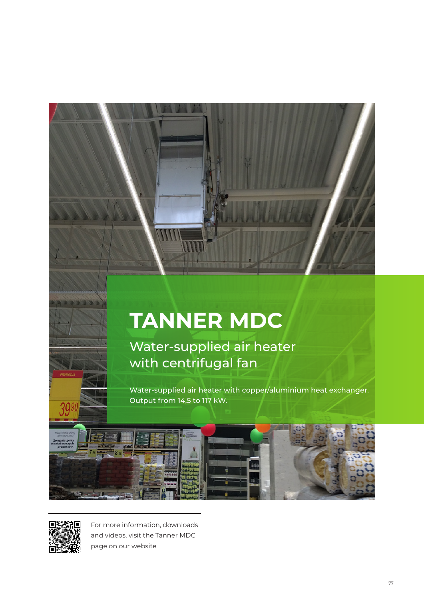# **TANNER MDC**

Water-supplied air heater with centrifugal fan

Water-supplied air heater with copper/aluminium heat exchanger. Output from 14,5 to 117 kW.





39

For more information, downloads and videos, visit the Tanner MDC page on our website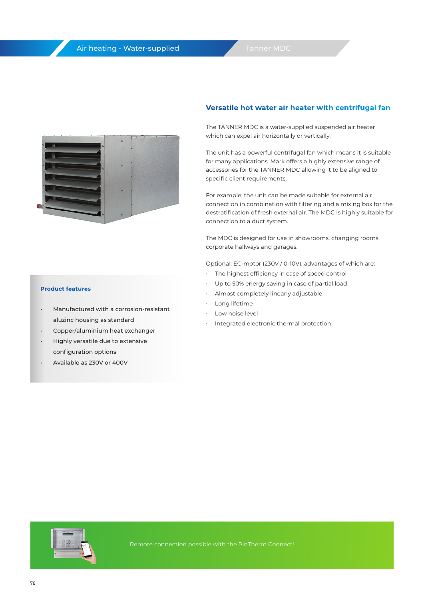

#### **Product features**

- Manufactured with a corrosion-resistant aluzinc housing as standard
- Copper/aluminium heat exchanger
- Highly versatile due to extensive configuration options
- Available as 230V or 400V

#### **Versatile hot water air heater with centrifugal fan**

The TANNER MDC is a water-supplied suspended air heater which can expel air horizontally or vertically.

The unit has a powerful centrifugal fan which means it is suitable for many applications. Mark offers a highly extensive range of accessories for the TANNER MDC allowing it to be aligned to specific client requirements.

For example, the unit can be made suitable for external air connection in combination with filtering and a mixing box for the destratification of fresh external air. The MDC is highly suitable for connection to a duct system.

The MDC is designed for use in showrooms, changing rooms, corporate hallways and garages.

Optional: EC-motor (230V / 0-10V), advantages of which are:

- The highest efficiency in case of speed control
- Up to 50% energy saving in case of partial load
- Almost completely linearly adjustable
- Long lifetime
- Low noise level
- Integrated electronic thermal protection

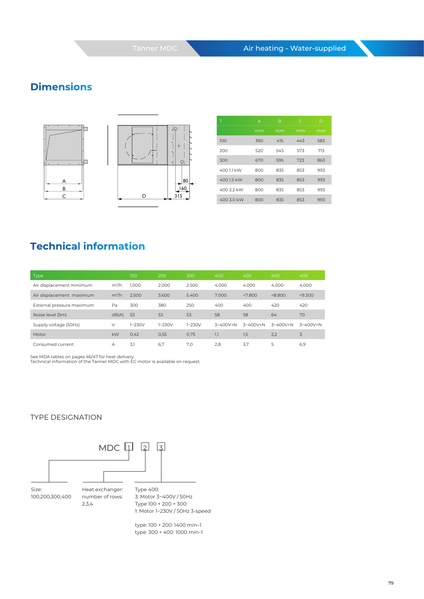# **Dimensions**





| Τ          | A   | B   | C   | D   |
|------------|-----|-----|-----|-----|
|            | mm  | mm  | mm  | mm  |
| 100        | 390 | 415 | 443 | 583 |
| 200        | 520 | 545 | 573 | 713 |
| 300        | 670 | 595 | 723 | 863 |
| 400 1.1 kW | 800 | 835 | 853 | 993 |
| 400 1.5 kW | 800 | 835 | 853 | 993 |
| 400 2.2 kW | 800 | 835 | 853 | 993 |
| 400 3.0 kW | 800 | 835 | 853 | 993 |

## **Technical information**

| Type                      |         | 100        | 200        | 300        | 400          | 400          | 400          | 400          |
|---------------------------|---------|------------|------------|------------|--------------|--------------|--------------|--------------|
| Air displacement minimum  | $m^3/h$ | 1.000      | 2.000      | 2.500      | 4.000        | 4.000        | 4.000        | 4.000        |
| Air displacement maximum  | 2.500   | 3.600      | 5.400      | 7.000      | < 7.800      | < 8.800      | < 9.300      |              |
| External pressure maximum | Pa      | 300        | 380        | 250        | 400          | 400          | 420          | 420          |
| Noise level (5m)          | dB(A)   | 53         | 53         | 53         | 58           | 58           | 64           | 70           |
| Supply voltage (50Hz)     | $\vee$  | $1 - 230V$ | $1 - 230V$ | $1 - 230V$ | $3~400V + N$ | $3~400V + N$ | $3~400V + N$ | $3~400V + N$ |
| Motor                     | kW      | 0,42       | 0,55       | 0,75       | 1,1          | 1,5          | 2,2          | 3            |
| Consumed current          | А       | 3,1        | 6,7        | 7,0        | 2,8          | 3,7          | 5            | 6,9          |

See MDA tables on pages 46/47 for heat delivery. Technical information of the Tanner MDC with EC motor is available on request.

#### TYPE DESIGNATION



type: 100 + 200: 1400 min–1 type: 300 + 400: 1000 min–1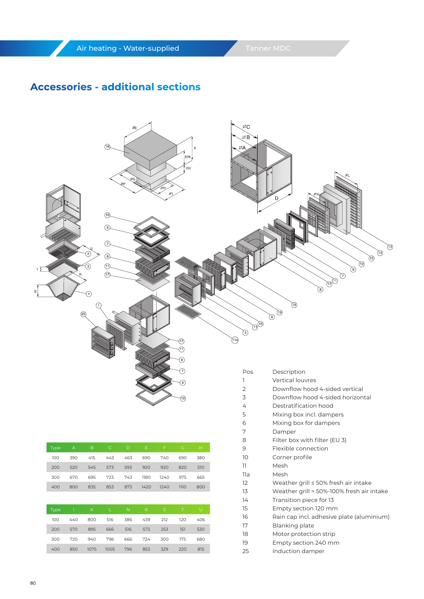### **Accessories - additional sections**



| Type | Α   | B    | C    | D           | Ε            | F            | G      | H   |
|------|-----|------|------|-------------|--------------|--------------|--------|-----|
| 100  | 390 | 415  | 443  | 463         | 690          | 740          | 690    | 380 |
| 200  | 520 | 545  | 573  | 593         | 920          | 920          | 820    | 510 |
| 300  | 670 | 695  | 723  | 743         | 1180         | 1240         | 975    | 665 |
| 400  | 800 | 835  | 853  | 873         | 1420         | 1240         | 1110   | 800 |
|      |     |      |      |             |              |              |        |     |
| Type | T   | K    | L    | $\mathbb N$ | $\mathsf{R}$ | $\mathsf{S}$ | $\top$ | U   |
| 100  | 440 | 800  | 516  | 386         | 439          | 212          | 120    | 406 |
|      |     |      |      |             |              |              |        |     |
| 200  | 570 | 895  | 666  | 516         | 573          | 253          | 151    | 530 |
| 300  | 720 | 940  | 796  | 666         | 724          | 300          | 175    | 680 |
| 400  | 850 | 1075 | 1005 | 796         | 853          | 329          | 220    | 815 |

| 2 | Downflow hood 4-sided vertical   |
|---|----------------------------------|
| 3 | Downflow hood 4-sided horizontal |
| ∠ | Destratification hood            |

- 5 Mixing box incl. dampers
- 6 Mixing box for dampers
- 7 Damper

8

- Filter box with filter (EU 3)
- 9 Flexible connection
- 10 Corner profile
- 11 Mesh
- 11a 12 Mesh
	- Weather grill ≤ 50% fresh air intake
- 13 Weather grill > 50%-100% fresh air intake
- 14 Transition piece for 13
- 15 Empty section 120 mm
- 16 Rain cap incl. adhesive plate (aluminium)
- 17 Blanking plate
- 18 Motor protection strip
- 19 Empty section 240 mm
- 25 Induction damper